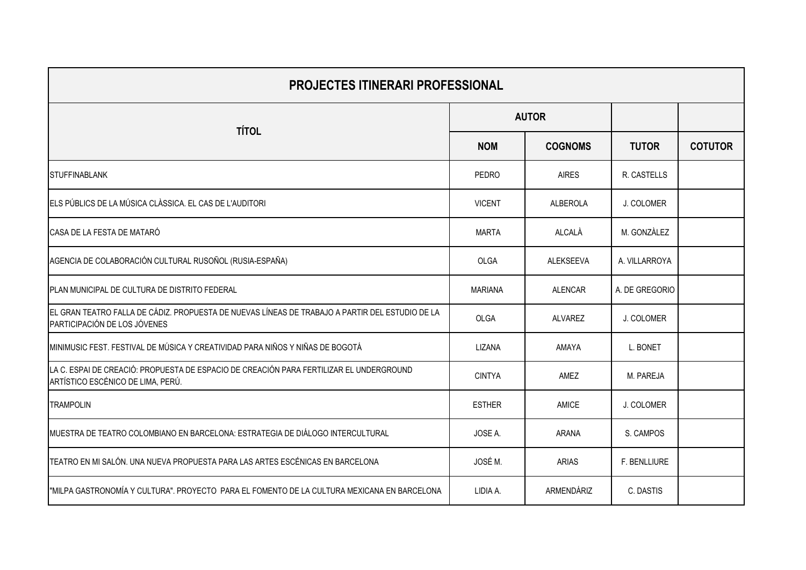| <b>PROJECTES ITINERARI PROFESSIONAL</b>                                                                                         |                |                 |                |                |
|---------------------------------------------------------------------------------------------------------------------------------|----------------|-----------------|----------------|----------------|
| <b>TÍTOL</b>                                                                                                                    | <b>AUTOR</b>   |                 |                |                |
|                                                                                                                                 | <b>NOM</b>     | <b>COGNOMS</b>  | <b>TUTOR</b>   | <b>COTUTOR</b> |
| <b>STUFFINABLANK</b>                                                                                                            | <b>PEDRO</b>   | <b>AIRES</b>    | R. CASTELLS    |                |
| ELS PÚBLICS DE LA MÚSICA CLÀSSICA. EL CAS DE L'AUDITORI                                                                         | <b>VICENT</b>  | <b>ALBEROLA</b> | J. COLOMER     |                |
| CASA DE LA FESTA DE MATARÓ                                                                                                      | <b>MARTA</b>   | ALCALÀ          | M. GONZÀLEZ    |                |
| AGENCIA DE COLABORACIÓN CULTURAL RUSOÑOL (RUSIA-ESPAÑA)                                                                         | OLGA           | ALEKSEEVA       | A. VILLARROYA  |                |
| PLAN MUNICIPAL DE CULTURA DE DISTRITO FEDERAL                                                                                   | <b>MARIANA</b> | <b>ALENCAR</b>  | A. DE GREGORIO |                |
| EL GRAN TEATRO FALLA DE CÁDIZ. PROPUESTA DE NUEVAS LÍNEAS DE TRABAJO A PARTIR DEL ESTUDIO DE LA<br>PARTICIPACIÓN DE LOS JÓVENES | OLGA           | <b>ALVAREZ</b>  | J. COLOMER     |                |
| MINIMUSIC FEST. FESTIVAL DE MÚSICA Y CREATIVIDAD PARA NIÑOS Y NIÑAS DE BOGOTÁ                                                   | LIZANA         | AMAYA           | L. BONET       |                |
| LA C. ESPAI DE CREACIÓ: PROPUESTA DE ESPACIO DE CREACIÓN PARA FERTILIZAR EL UNDERGROUND<br>ARTÍSTICO ESCÉNICO DE LIMA, PERÚ.    | <b>CINTYA</b>  | AMEZ            | M. PAREJA      |                |
| <b>TRAMPOLIN</b>                                                                                                                | <b>ESTHER</b>  | AMICE           | J. COLOMER     |                |
| MUESTRA DE TEATRO COLOMBIANO EN BARCELONA: ESTRATEGIA DE DIÁLOGO INTERCULTURAL                                                  | JOSE A.        | <b>ARANA</b>    | S. CAMPOS      |                |
| TEATRO EN MI SALÓN. UNA NUEVA PROPUESTA PARA LAS ARTES ESCÉNICAS EN BARCELONA                                                   | JOSÉ M.        | <b>ARIAS</b>    | F. BENLLIURE   |                |
| "MILPA GASTRONOMÍA Y CULTURA". PROYECTO PARA EL FOMENTO DE LA CULTURA MEXICANA EN BARCELONA                                     | LIDIA A.       | ARMENDÁRIZ      | C. DASTIS      |                |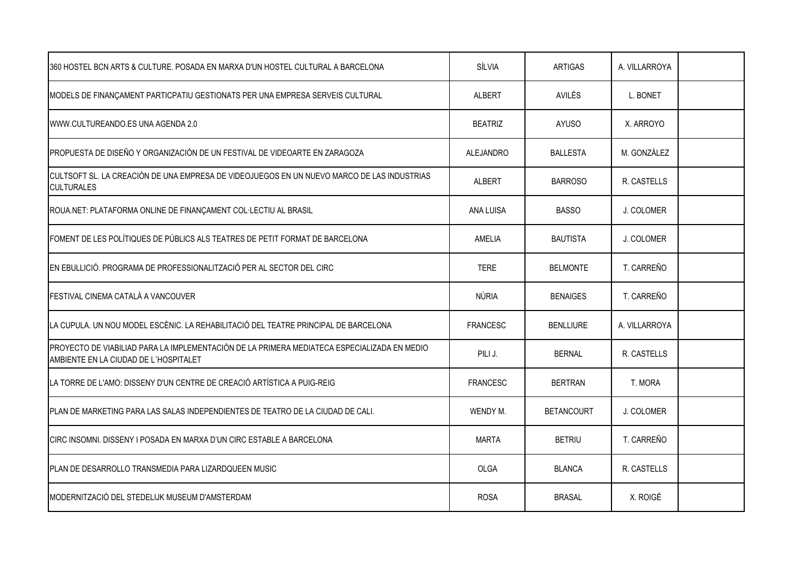| 360 HOSTEL BCN ARTS & CULTURE. POSADA EN MARXA D'UN HOSTEL CULTURAL A BARCELONA                                                      | SÍLVIA          | <b>ARTIGAS</b>    | A. VILLARROYA |  |
|--------------------------------------------------------------------------------------------------------------------------------------|-----------------|-------------------|---------------|--|
| MODELS DE FINANÇAMENT PARTICPATIU GESTIONATS PER UNA EMPRESA SERVEIS CULTURAL                                                        | <b>ALBERT</b>   | AVILÉS            | L. BONET      |  |
| WWW.CULTUREANDO.ES UNA AGENDA 2.0                                                                                                    | <b>BEATRIZ</b>  | <b>AYUSO</b>      | X. ARROYO     |  |
| PROPUESTA DE DISEÑO Y ORGANIZACIÓN DE UN FESTIVAL DE VIDEOARTE EN ZARAGOZA                                                           | ALEJANDRO       | <b>BALLESTA</b>   | M. GONZÀLEZ   |  |
| CULTSOFT SL. LA CREACIÓN DE UNA EMPRESA DE VIDEOJUEGOS EN UN NUEVO MARCO DE LAS INDUSTRIAS<br><b>CULTURALES</b>                      | <b>ALBERT</b>   | <b>BARROSO</b>    | R. CASTELLS   |  |
| ROUA.NET: PLATAFORMA ONLINE DE FINANÇAMENT COL·LECTIU AL BRASIL                                                                      | ANA LUISA       | <b>BASSO</b>      | J. COLOMER    |  |
| FOMENT DE LES POLÍTIQUES DE PÚBLICS ALS TEATRES DE PETIT FORMAT DE BARCELONA                                                         | AMELIA          | <b>BAUTISTA</b>   | J. COLOMER    |  |
| EN EBULLICIÓ. PROGRAMA DE PROFESSIONALITZACIÓ PER AL SECTOR DEL CIRC                                                                 | <b>TERE</b>     | <b>BELMONTE</b>   | T. CARREÑO    |  |
| FESTIVAL CINEMA CATALÀ A VANCOUVER                                                                                                   | NÚRIA           | <b>BENAIGES</b>   | T. CARREÑO    |  |
| LA CUPULA. UN NOU MODEL ESCÈNIC. LA REHABILITACIÓ DEL TEATRE PRINCIPAL DE BARCELONA                                                  | <b>FRANCESC</b> | <b>BENLLIURE</b>  | A. VILLARROYA |  |
| PROYECTO DE VIABILIAD PARA LA IMPLEMENTACIÓN DE LA PRIMERA MEDIATECA ESPECIALIZADA EN MEDIO<br>AMBIENTE EN LA CIUDAD DE L'HOSPITALET | PILI J.         | <b>BERNAL</b>     | R. CASTELLS   |  |
| LA TORRE DE L'AMO: DISSENY D'UN CENTRE DE CREACIÓ ARTÍSTICA A PUIG-REIG                                                              | <b>FRANCESC</b> | <b>BERTRAN</b>    | T. MORA       |  |
| IPLAN DE MARKETING PARA LAS SALAS INDEPENDIENTES DE TEATRO DE LA CIUDAD DE CALI.                                                     | WENDY M.        | <b>BETANCOURT</b> | J. COLOMER    |  |
| ICIRC INSOMNI. DISSENY I POSADA EN MARXA D'UN CIRC ESTABLE A BARCELONA.                                                              | <b>MARTA</b>    | <b>BETRIU</b>     | T. CARREÑO    |  |
| PLAN DE DESARROLLO TRANSMEDIA PARA LIZARDQUEEN MUSIC                                                                                 | <b>OLGA</b>     | <b>BLANCA</b>     | R. CASTELLS   |  |
| MODERNITZACIÓ DEL STEDELIJK MUSEUM D'AMSTERDAM                                                                                       | <b>ROSA</b>     | <b>BRASAL</b>     | X. ROIGÉ      |  |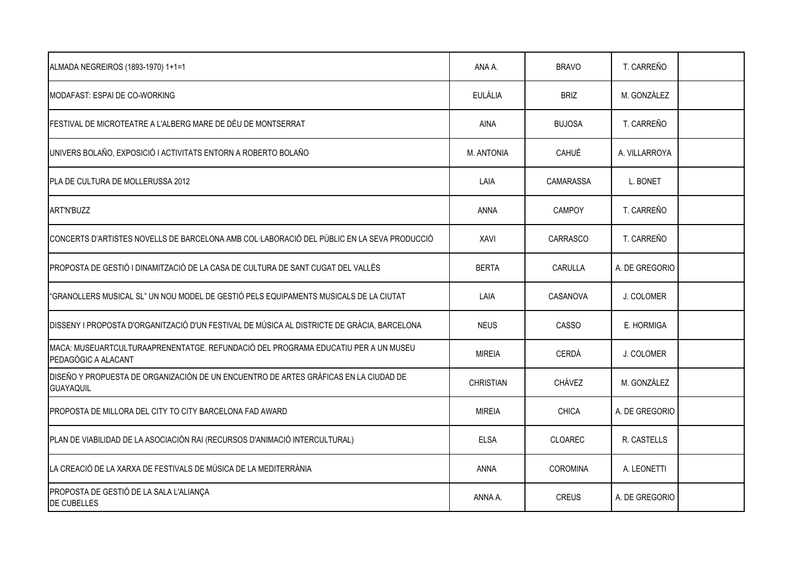| ALMADA NEGREIROS (1893-1970) 1+1=1                                                                        | ANA A.           | <b>BRAVO</b>     | T. CARREÑO     |  |
|-----------------------------------------------------------------------------------------------------------|------------------|------------------|----------------|--|
| MODAFAST: ESPAI DE CO-WORKING                                                                             | <b>EULÀLIA</b>   | <b>BRIZ</b>      | M. GONZÀLEZ    |  |
| FESTIVAL DE MICROTEATRE A L'ALBERG MARE DE DÉU DE MONTSERRAT                                              | <b>AINA</b>      | <b>BUJOSA</b>    | T. CARREÑO     |  |
| UNIVERS BOLAÑO, EXPOSICIÓ I ACTIVITATS ENTORN A ROBERTO BOLAÑO                                            | M. ANTONIA       | CAHUÉ            | A. VILLARROYA  |  |
| PLA DE CULTURA DE MOLLERUSSA 2012                                                                         | LAIA             | <b>CAMARASSA</b> | L. BONET       |  |
| ART'N'BUZZ                                                                                                | <b>ANNA</b>      | <b>CAMPOY</b>    | T. CARREÑO     |  |
| CONCERTS D'ARTISTES NOVELLS DE BARCELONA AMB COL·LABORACIÓ DEL PÚBLIC EN LA SEVA PRODUCCIÓ                | XAVI             | <b>CARRASCO</b>  | T. CARREÑO     |  |
| PROPOSTA DE GESTIÓ I DINAMITZACIÓ DE LA CASA DE CULTURA DE SANT CUGAT DEL VALLÈS                          | <b>BERTA</b>     | CARULLA          | A. DE GREGORIO |  |
| "GRANOLLERS MUSICAL SL" UN NOU MODEL DE GESTIÓ PELS EQUIPAMENTS MUSICALS DE LA CIUTAT                     | LAIA             | CASANOVA         | J. COLOMER     |  |
| DISSENY I PROPOSTA D'ORGANITZACIÓ D'UN FESTIVAL DE MÚSICA AL DISTRICTE DE GRÀCIA, BARCELONA               | <b>NEUS</b>      | CASSO            | E. HORMIGA     |  |
| MACA: MUSEUARTCULTURAAPRENENTATGE. REFUNDACIÓ DEL PROGRAMA EDUCATIU PER A UN MUSEU<br>PEDAGÒGIC A ALACANT | <b>MIREIA</b>    | <b>CERDÀ</b>     | J. COLOMER     |  |
| DISEÑO Y PROPUESTA DE ORGANIZACIÓN DE UN ENCUENTRO DE ARTES GRÁFICAS EN LA CIUDAD DE<br><b>GUAYAQUIL</b>  | <b>CHRISTIAN</b> | CHÁVEZ           | M. GONZÀLEZ    |  |
| PROPOSTA DE MILLORA DEL CITY TO CITY BARCELONA FAD AWARD                                                  | <b>MIREIA</b>    | <b>CHICA</b>     | A. DE GREGORIO |  |
| PLAN DE VIABILIDAD DE LA ASOCIACIÓN RAI (RECURSOS D'ANIMACIÓ INTERCULTURAL)                               | <b>ELSA</b>      | <b>CLOAREC</b>   | R. CASTELLS    |  |
| LA CREACIÓ DE LA XARXA DE FESTIVALS DE MÚSICA DE LA MEDITERRÀNIA                                          | ANNA             | <b>COROMINA</b>  | A. LEONETTI    |  |
| PROPOSTA DE GESTIÓ DE LA SALA L'ALIANÇA<br><b>DE CUBELLES</b>                                             | ANNA A.          | <b>CREUS</b>     | A. DE GREGORIO |  |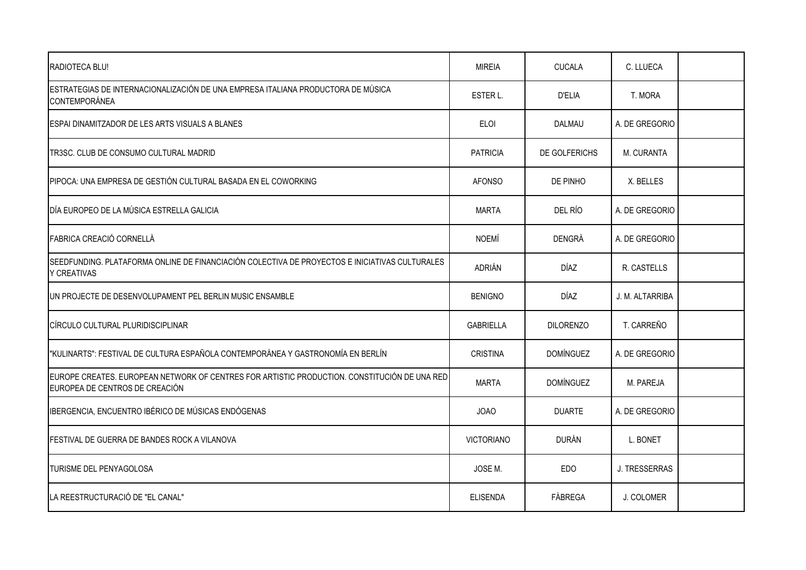| RADIOTECA BLU!                                                                                                                 | <b>MIREIA</b>     | <b>CUCALA</b>    | C. LLUECA       |  |
|--------------------------------------------------------------------------------------------------------------------------------|-------------------|------------------|-----------------|--|
| ESTRATEGIAS DE INTERNACIONALIZACIÓN DE UNA EMPRESA ITALIANA PRODUCTORA DE MÚSICA<br><b>CONTEMPORÁNEA</b>                       | ESTER L.          | <b>D'ELIA</b>    | T. MORA         |  |
| ESPAI DINAMITZADOR DE LES ARTS VISUALS A BLANES                                                                                | <b>ELOI</b>       | DALMAU           | A. DE GREGORIO  |  |
| TR3SC. CLUB DE CONSUMO CULTURAL MADRID                                                                                         | <b>PATRICIA</b>   | DE GOLFERICHS    | M. CURANTA      |  |
| PIPOCA: UNA EMPRESA DE GESTIÓN CULTURAL BASADA EN EL COWORKING                                                                 | <b>AFONSO</b>     | DE PINHO         | X. BELLES       |  |
| DÍA EUROPEO DE LA MÚSICA ESTRELLA GALICIA                                                                                      | <b>MARTA</b>      | DEL RÍO          | A. DE GREGORIO  |  |
| FABRICA CREACIÓ CORNELLÀ                                                                                                       | <b>NOEMÍ</b>      | <b>DENGRÀ</b>    | A. DE GREGORIO  |  |
| SEEDFUNDING. PLATAFORMA ONLINE DE FINANCIACIÓN COLECTIVA DE PROYECTOS E INICIATIVAS CULTURALES<br><b>Y CREATIVAS</b>           | ADRIÁN            | DÍAZ             | R. CASTELLS     |  |
| UN PROJECTE DE DESENVOLUPAMENT PEL BERLIN MUSIC ENSAMBLE                                                                       | <b>BENIGNO</b>    | <b>DÍAZ</b>      | J. M. ALTARRIBA |  |
| CÍRCULO CULTURAL PLURIDISCIPLINAR                                                                                              | <b>GABRIELLA</b>  | <b>DILORENZO</b> | T. CARREÑO      |  |
| "KULINARTS": FESTIVAL DE CULTURA ESPAÑOLA CONTEMPORÁNEA Y GASTRONOMÍA EN BERLÍN                                                | <b>CRISTINA</b>   | <b>DOMÍNGUEZ</b> | A. DE GREGORIO  |  |
| EUROPE CREATES. EUROPEAN NETWORK OF CENTRES FOR ARTISTIC PRODUCTION. CONSTITUCIÓN DE UNA RED<br>EUROPEA DE CENTROS DE CREACIÓN | <b>MARTA</b>      | <b>DOMÍNGUEZ</b> | M. PAREJA       |  |
| IBERGENCIA, ENCUENTRO IBÉRICO DE MÚSICAS ENDÓGENAS                                                                             | <b>JOAO</b>       | <b>DUARTE</b>    | A. DE GREGORIO  |  |
| FESTIVAL DE GUERRA DE BANDES ROCK A VILANOVA                                                                                   | <b>VICTORIANO</b> | <b>DURÁN</b>     | L. BONET        |  |
| TURISME DEL PENYAGOLOSA                                                                                                        | JOSE M.           | <b>EDO</b>       | J. TRESSERRAS   |  |
| LA REESTRUCTURACIÓ DE "EL CANAL"                                                                                               | <b>ELISENDA</b>   | FÀBREGA          | J. COLOMER      |  |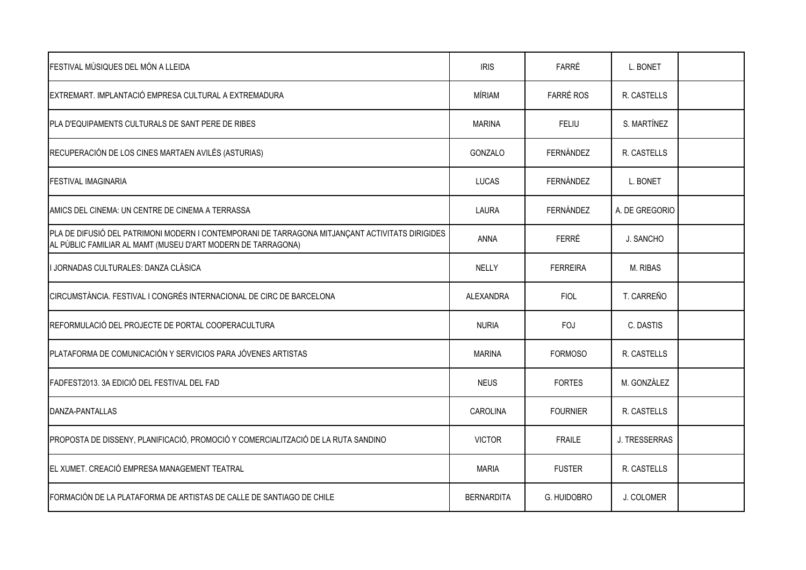| FESTIVAL MÚSIQUES DEL MÓN A LLEIDA                                                                                                                              | <b>IRIS</b>       | <b>FARRÉ</b>     | L. BONET       |  |
|-----------------------------------------------------------------------------------------------------------------------------------------------------------------|-------------------|------------------|----------------|--|
| EXTREMART. IMPLANTACIÓ EMPRESA CULTURAL A EXTREMADURA                                                                                                           | MÍRIAM            | <b>FARRÉ ROS</b> | R. CASTELLS    |  |
| PLA D'EQUIPAMENTS CULTURALS DE SANT PERE DE RIBES                                                                                                               | <b>MARINA</b>     | <b>FELIU</b>     | S. MARTÍNEZ    |  |
| RECUPERACIÓN DE LOS CINES MARTAEN AVILÉS (ASTURIAS)                                                                                                             | GONZALO           | FERNÁNDEZ        | R. CASTELLS    |  |
| <b>FESTIVAL IMAGINARIA</b>                                                                                                                                      | <b>LUCAS</b>      | FERNÁNDEZ        | L. BONET       |  |
| AMICS DEL CINEMA: UN CENTRE DE CINEMA A TERRASSA                                                                                                                | <b>LAURA</b>      | FERNÁNDEZ        | A. DE GREGORIO |  |
| PLA DE DIFUSIÓ DEL PATRIMONI MODERN I CONTEMPORANI DE TARRAGONA MITJANÇANT ACTIVITATS DIRIGIDES<br>AL PÚBLIC FAMILIAR AL MAMT (MUSEU D'ART MODERN DE TARRAGONA) | ANNA              | <b>FERRÉ</b>     | J. SANCHO      |  |
| I JORNADAS CULTURALES: DANZA CLÁSICA                                                                                                                            | NELLY             | <b>FERREIRA</b>  | M. RIBAS       |  |
| CIRCUMSTÀNCIA. FESTIVAL I CONGRÉS INTERNACIONAL DE CIRC DE BARCELONA                                                                                            | ALEXANDRA         | <b>FIOL</b>      | T. CARREÑO     |  |
| REFORMULACIÓ DEL PROJECTE DE PORTAL COOPERACULTURA                                                                                                              | <b>NURIA</b>      | <b>FOJ</b>       | C. DASTIS      |  |
| PLATAFORMA DE COMUNICACIÓN Y SERVICIOS PARA JÓVENES ARTISTAS                                                                                                    | <b>MARINA</b>     | <b>FORMOSO</b>   | R. CASTELLS    |  |
| FADFEST2013. 3A EDICIÓ DEL FESTIVAL DEL FAD                                                                                                                     | <b>NEUS</b>       | <b>FORTES</b>    | M. GONZÀLEZ    |  |
| DANZA-PANTALLAS                                                                                                                                                 | CAROLINA          | <b>FOURNIER</b>  | R. CASTELLS    |  |
| PROPOSTA DE DISSENY, PLANIFICACIÓ, PROMOCIÓ Y COMERCIALITZACIÓ DE LA RUTA SANDINO                                                                               | <b>VICTOR</b>     | <b>FRAILE</b>    | J. TRESSERRAS  |  |
| EL XUMET. CREACIÓ EMPRESA MANAGEMENT TEATRAL                                                                                                                    | <b>MARIA</b>      | <b>FUSTER</b>    | R. CASTELLS    |  |
| FORMACIÓN DE LA PLATAFORMA DE ARTISTAS DE CALLE DE SANTIAGO DE CHILE                                                                                            | <b>BERNARDITA</b> | G. HUIDOBRO      | J. COLOMER     |  |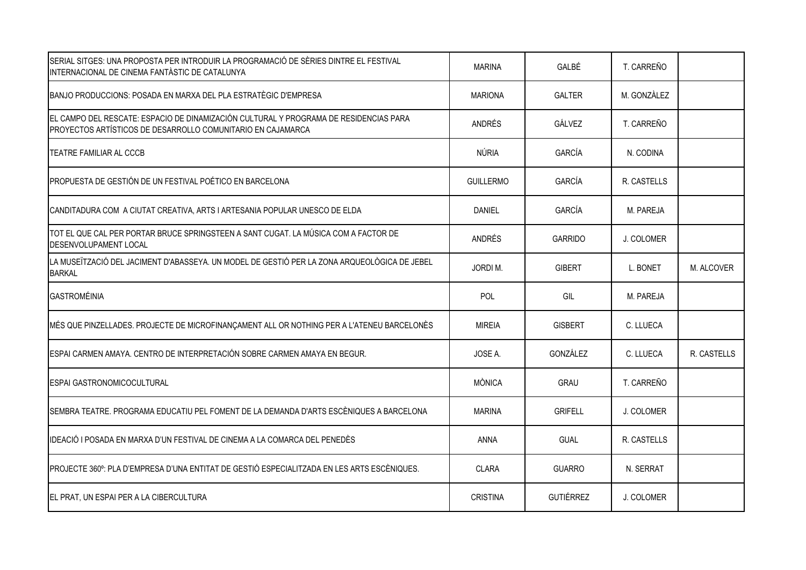| SERIAL SITGES: UNA PROPOSTA PER INTRODUIR LA PROGRAMACIÓ DE SÈRIES DINTRE EL FESTIVAL<br>INTERNACIONAL DE CINEMA FANTÀSTIC DE CATALUNYA              | <b>MARINA</b>    | GALBÉ            | T. CARREÑO  |             |
|------------------------------------------------------------------------------------------------------------------------------------------------------|------------------|------------------|-------------|-------------|
| BANJO PRODUCCIONS: POSADA EN MARXA DEL PLA ESTRATÈGIC D'EMPRESA                                                                                      | <b>MARIONA</b>   | <b>GALTER</b>    | M. GONZÀLEZ |             |
| EL CAMPO DEL RESCATE: ESPACIO DE DINAMIZACIÓN CULTURAL Y PROGRAMA DE RESIDENCIAS PARA<br>PROYECTOS ARTÍSTICOS DE DESARROLLO COMUNITARIO EN CAJAMARCA | ANDRÉS           | GÁLVEZ           | T. CARREÑO  |             |
| TEATRE FAMILIAR AL CCCB                                                                                                                              | NÚRIA            | GARCÍA           | N. CODINA   |             |
| PROPUESTA DE GESTIÓN DE UN FESTIVAL POÉTICO EN BARCELONA                                                                                             | <b>GUILLERMO</b> | GARCÍA           | R. CASTELLS |             |
| CANDITADURA COM A CIUTAT CREATIVA, ARTS I ARTESANIA POPULAR UNESCO DE ELDA                                                                           | <b>DANIEL</b>    | GARCÍA           | M. PAREJA   |             |
| TOT EL QUE CAL PER PORTAR BRUCE SPRINGSTEEN A SANT CUGAT. LA MÚSICA COM A FACTOR DE<br><b>DESENVOLUPAMENT LOCAL</b>                                  | ANDRÉS           | <b>GARRIDO</b>   | J. COLOMER  |             |
| LA MUSEÏTZACIÓ DEL JACIMENT D'ABASSEYA. UN MODEL DE GESTIÓ PER LA ZONA ARQUEOLÒGICA DE JEBEL<br><b>BARKAL</b>                                        | JORDI M.         | <b>GIBERT</b>    | L. BONET    | M. ALCOVER  |
| <b>GASTROMÉINIA</b>                                                                                                                                  | POL              | GIL              | M. PAREJA   |             |
| MÉS QUE PINZELLADES. PROJECTE DE MICROFINANÇAMENT ALL OR NOTHING PER A L'ATENEU BARCELONÈS                                                           | <b>MIREIA</b>    | <b>GISBERT</b>   | C. LLUECA   |             |
| ESPAI CARMEN AMAYA. CENTRO DE INTERPRETACIÓN SOBRE CARMEN AMAYA EN BEGUR.                                                                            | JOSE A.          | GONZÁLEZ         | C. LLUECA   | R. CASTELLS |
| <b>ESPAI GASTRONOMICOCULTURAL</b>                                                                                                                    | <b>MÒNICA</b>    | <b>GRAU</b>      | T. CARREÑO  |             |
| SEMBRA TEATRE. PROGRAMA EDUCATIU PEL FOMENT DE LA DEMANDA D'ARTS ESCÈNIQUES A BARCELONA                                                              | <b>MARINA</b>    | <b>GRIFELL</b>   | J. COLOMER  |             |
| IDEACIÓ I POSADA EN MARXA D'UN FESTIVAL DE CINEMA A LA COMARCA DEL PENEDÈS                                                                           | <b>ANNA</b>      | <b>GUAL</b>      | R. CASTELLS |             |
| PROJECTE 360°: PLA D'EMPRESA D'UNA ENTITAT DE GESTIÓ ESPECIALITZADA EN LES ARTS ESCÈNIQUES.                                                          | <b>CLARA</b>     | <b>GUARRO</b>    | N. SERRAT   |             |
| EL PRAT, UN ESPAI PER A LA CIBERCULTURA                                                                                                              | <b>CRISTINA</b>  | <b>GUTIÉRREZ</b> | J. COLOMER  |             |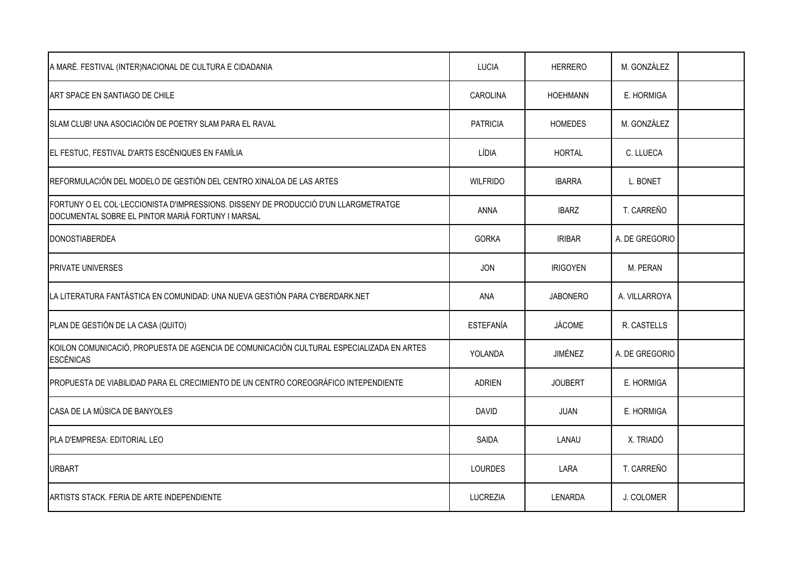| A MARÉ. FESTIVAL (INTER)NACIONAL DE CULTURA E CIDADANIA                                                                                  | LUCIA            | <b>HERRERO</b>  | M. GONZÀLEZ    |  |
|------------------------------------------------------------------------------------------------------------------------------------------|------------------|-----------------|----------------|--|
| ART SPACE EN SANTIAGO DE CHILE                                                                                                           | CAROLINA         | <b>HOEHMANN</b> | E. HORMIGA     |  |
| SLAM CLUB! UNA ASOCIACIÓN DE POETRY SLAM PARA EL RAVAL                                                                                   | <b>PATRICIA</b>  | <b>HOMEDES</b>  | M. GONZÀLEZ    |  |
| EL FESTUC, FESTIVAL D'ARTS ESCÈNIQUES EN FAMÍLIA                                                                                         | LÍDIA            | <b>HORTAL</b>   | C. LLUECA      |  |
| REFORMULACIÓN DEL MODELO DE GESTIÓN DEL CENTRO XINALOA DE LAS ARTES                                                                      | <b>WILFRIDO</b>  | <b>IBARRA</b>   | L. BONET       |  |
| FORTUNY O EL COL·LECCIONISTA D'IMPRESSIONS. DISSENY DE PRODUCCIÓ D'UN LLARGMETRATGE<br>DOCUMENTAL SOBRE EL PINTOR MARIÀ FORTUNY I MARSAL | <b>ANNA</b>      | <b>IBARZ</b>    | T. CARREÑO     |  |
| <b>IDONOSTIABERDEA</b>                                                                                                                   | <b>GORKA</b>     | <b>IRIBAR</b>   | A. DE GREGORIO |  |
| <b>PRIVATE UNIVERSES</b>                                                                                                                 | <b>JON</b>       | <b>IRIGOYEN</b> | M. PERAN       |  |
| LA LITERATURA FANTÁSTICA EN COMUNIDAD: UNA NUEVA GESTIÓN PARA CYBERDARK.NET                                                              | <b>ANA</b>       | <b>JABONERO</b> | A. VILLARROYA  |  |
| PLAN DE GESTIÓN DE LA CASA (QUITO)                                                                                                       | <b>ESTEFANÍA</b> | <b>JÁCOME</b>   | R. CASTELLS    |  |
| KOILON COMUNICACIÓ, PROPUESTA DE AGENCIA DE COMUNICACIÓN CULTURAL ESPECIALIZADA EN ARTES<br><b>ESCÉNICAS</b>                             | YOLANDA          | JIMÉNEZ         | A. DE GREGORIO |  |
| PROPUESTA DE VIABILIDAD PARA EL CRECIMIENTO DE UN CENTRO COREOGRÁFICO INTEPENDIENTE                                                      | <b>ADRIEN</b>    | <b>JOUBERT</b>  | E. HORMIGA     |  |
| CASA DE LA MÚSICA DE BANYOLES                                                                                                            | <b>DAVID</b>     | JUAN            | E. HORMIGA     |  |
| PLA D'EMPRESA: EDITORIAL LEO                                                                                                             | <b>SAIDA</b>     | LANAU           | X. TRIADÓ      |  |
| <b>URBART</b>                                                                                                                            | <b>LOURDES</b>   | LARA            | T. CARREÑO     |  |
| ARTISTS STACK. FERIA DE ARTE INDEPENDIENTE                                                                                               | LUCREZIA         | <b>LENARDA</b>  | J. COLOMER     |  |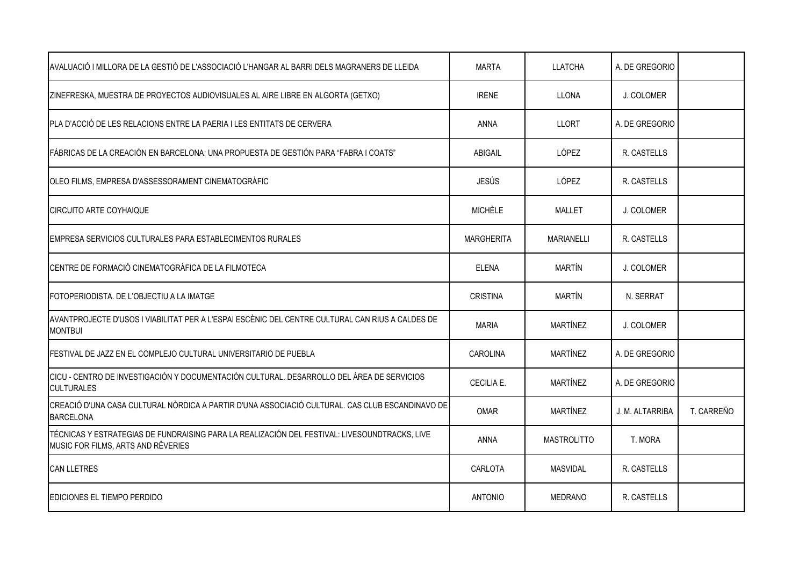| AVALUACIÓ I MILLORA DE LA GESTIÓ DE L'ASSOCIACIÓ L'HANGAR AL BARRI DELS MAGRANERS DE LLEIDA                                         | <b>MARTA</b>      | <b>LLATCHA</b>     | A. DE GREGORIO  |            |
|-------------------------------------------------------------------------------------------------------------------------------------|-------------------|--------------------|-----------------|------------|
| ZINEFRESKA, MUESTRA DE PROYECTOS AUDIOVISUALES AL AIRE LIBRE EN ALGORTA (GETXO)                                                     | <b>IRENE</b>      | <b>LLONA</b>       | J. COLOMER      |            |
| PLA D'ACCIÓ DE LES RELACIONS ENTRE LA PAERIA I LES ENTITATS DE CERVERA                                                              | <b>ANNA</b>       | <b>LLORT</b>       | A. DE GREGORIO  |            |
| FÁBRICAS DE LA CREACIÓN EN BARCELONA: UNA PROPUESTA DE GESTIÓN PARA "FABRA I COATS"                                                 | ABIGAIL           | LÓPEZ              | R. CASTELLS     |            |
| OLEO FILMS, EMPRESA D'ASSESSORAMENT CINEMATOGRÀFIC                                                                                  | <b>JESÚS</b>      | LÓPEZ              | R. CASTELLS     |            |
| CIRCUITO ARTE COYHAIQUE                                                                                                             | <b>MICHÈLE</b>    | <b>MALLET</b>      | J. COLOMER      |            |
| EMPRESA SERVICIOS CULTURALES PARA ESTABLECIMENTOS RURALES                                                                           | <b>MARGHERITA</b> | <b>MARIANELLI</b>  | R. CASTELLS     |            |
| CENTRE DE FORMACIÓ CINEMATOGRÀFICA DE LA FILMOTECA                                                                                  | <b>ELENA</b>      | MARTÍN             | J. COLOMER      |            |
| FOTOPERIODISTA. DE L'OBJECTIU A LA IMATGE                                                                                           | <b>CRISTINA</b>   | MARTÍN             | N. SERRAT       |            |
| AVANTPROJECTE D'USOS I VIABILITAT PER A L'ESPAI ESCÈNIC DEL CENTRE CULTURAL CAN RIUS A CALDES DE<br><b>MONTBUI</b>                  | <b>MARIA</b>      | <b>MARTÍNEZ</b>    | J. COLOMER      |            |
| FESTIVAL DE JAZZ EN EL COMPLEJO CULTURAL UNIVERSITARIO DE PUEBLA                                                                    | CAROLINA          | <b>MARTÍNEZ</b>    | A. DE GREGORIO  |            |
| CICU - CENTRO DE INVESTIGACIÓN Y DOCUMENTACIÓN CULTURAL. DESARROLLO DEL ÁREA DE SERVICIOS<br><b>CULTURALES</b>                      | CECILIA E.        | <b>MARTÍNEZ</b>    | A. DE GREGORIO  |            |
| CREACIÓ D'UNA CASA CULTURAL NÒRDICA A PARTIR D'UNA ASSOCIACIÓ CULTURAL. CAS CLUB ESCANDINAVO DE<br><b>BARCELONA</b>                 | <b>OMAR</b>       | <b>MARTÍNEZ</b>    | J. M. ALTARRIBA | T. CARREÑO |
| TÉCNICAS Y ESTRATEGIAS DE FUNDRAISING PARA LA REALIZACIÓN DEL FESTIVAL: LIVESOUNDTRACKS, LIVE<br>MUSIC FOR FILMS, ARTS AND RÊVERIES | <b>ANNA</b>       | <b>MASTROLITTO</b> | T. MORA         |            |
| <b>CAN LLETRES</b>                                                                                                                  | CARLOTA           | MASVIDAL           | R. CASTELLS     |            |
| <b>EDICIONES EL TIEMPO PERDIDO</b>                                                                                                  | <b>ANTONIO</b>    | <b>MEDRANO</b>     | R. CASTELLS     |            |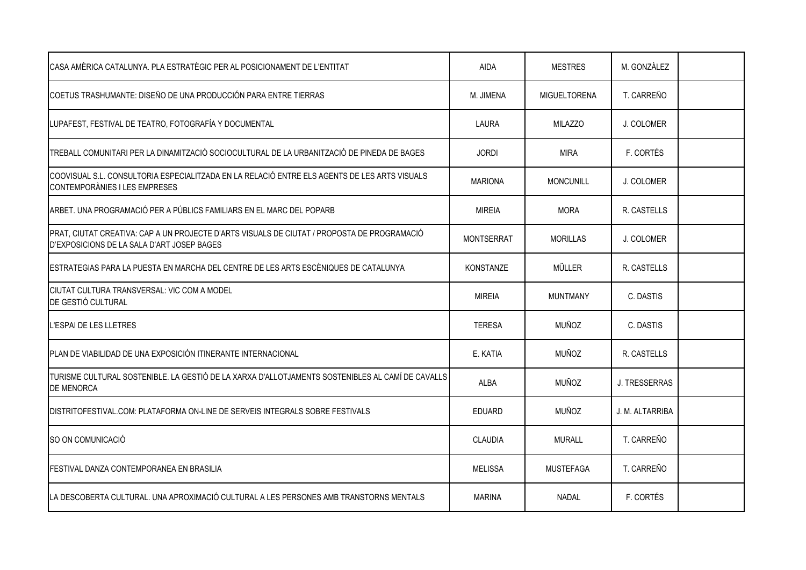| CASA AMÈRICA CATALUNYA. PLA ESTRATÈGIC PER AL POSICIONAMENT DE L'ENTITAT                                                                  | <b>AIDA</b>       | <b>MESTRES</b>      | M. GONZÀLEZ     |  |
|-------------------------------------------------------------------------------------------------------------------------------------------|-------------------|---------------------|-----------------|--|
| COETUS TRASHUMANTE: DISEÑO DE UNA PRODUCCIÓN PARA ENTRE TIERRAS                                                                           | M. JIMENA         | <b>MIGUELTORENA</b> | T. CARREÑO      |  |
| LUPAFEST, FESTIVAL DE TEATRO, FOTOGRAFÍA Y DOCUMENTAL                                                                                     | LAURA             | <b>MILAZZO</b>      | J. COLOMER      |  |
| TREBALL COMUNITARI PER LA DINAMITZACIÓ SOCIOCULTURAL DE LA URBANITZACIÓ DE PINEDA DE BAGES                                                | <b>JORDI</b>      | <b>MIRA</b>         | F. CORTÉS       |  |
| COOVISUAL S.L. CONSULTORIA ESPECIALITZADA EN LA RELACIÓ ENTRE ELS AGENTS DE LES ARTS VISUALS<br>CONTEMPORÀNIES I LES EMPRESES             | <b>MARIONA</b>    | <b>MONCUNILL</b>    | J. COLOMER      |  |
| ARBET. UNA PROGRAMACIÓ PER A PÚBLICS FAMILIARS EN EL MARC DEL POPARB                                                                      | <b>MIREIA</b>     | <b>MORA</b>         | R. CASTELLS     |  |
| PRAT, CIUTAT CREATIVA: CAP A UN PROJECTE D'ARTS VISUALS DE CIUTAT / PROPOSTA DE PROGRAMACIÓ<br>D'EXPOSICIONS DE LA SALA D'ART JOSEP BAGES | <b>MONTSERRAT</b> | <b>MORILLAS</b>     | J. COLOMER      |  |
| ESTRATEGIAS PARA LA PUESTA EN MARCHA DEL CENTRE DE LES ARTS ESCÈNIQUES DE CATALUNYA                                                       | KONSTANZE         | MÜLLER              | R. CASTELLS     |  |
| CIUTAT CULTURA TRANSVERSAL: VIC COM A MODEL<br>DE GESTIÓ CULTURAL                                                                         | <b>MIREIA</b>     | <b>MUNTMANY</b>     | C. DASTIS       |  |
| L'ESPAI DE LES LLETRES                                                                                                                    | <b>TERESA</b>     | MUÑOZ               | C. DASTIS       |  |
| PLAN DE VIABILIDAD DE UNA EXPOSICIÓN ITINERANTE INTERNACIONAL                                                                             | E. KATIA          | MUÑOZ               | R. CASTELLS     |  |
| TURISME CULTURAL SOSTENIBLE. LA GESTIÓ DE LA XARXA D'ALLOTJAMENTS SOSTENIBLES AL CAMÍ DE CAVALLS<br><b>DE MENORCA</b>                     | ALBA              | <b>MUÑOZ</b>        | J. TRESSERRAS   |  |
| IDISTRITOFESTIVAL.COM: PLATAFORMA ON-LINE DE SERVEIS INTEGRALS SOBRE FESTIVALS                                                            | <b>EDUARD</b>     | MUÑOZ               | J. M. ALTARRIBA |  |
| SO ON COMUNICACIÓ                                                                                                                         | <b>CLAUDIA</b>    | <b>MURALL</b>       | T. CARREÑO      |  |
| FESTIVAL DANZA CONTEMPORANEA EN BRASILIA                                                                                                  | <b>MELISSA</b>    | <b>MUSTEFAGA</b>    | T. CARREÑO      |  |
| LA DESCOBERTA CULTURAL. UNA APROXIMACIÓ CULTURAL A LES PERSONES AMB TRANSTORNS MENTALS                                                    | <b>MARINA</b>     | <b>NADAL</b>        | F. CORTÉS       |  |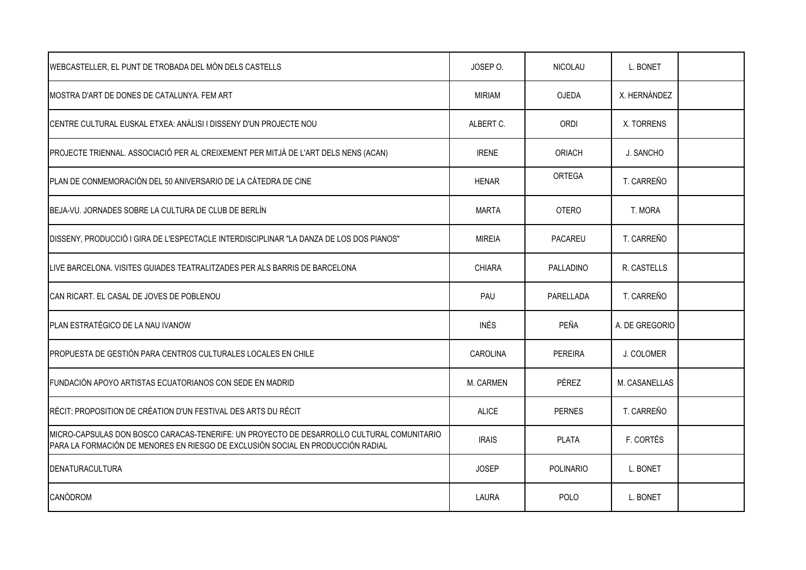| WEBCASTELLER, EL PUNT DE TROBADA DEL MÓN DELS CASTELLS                                                                                                                       | JOSEP O.        | NICOLAU          | L. BONET       |  |
|------------------------------------------------------------------------------------------------------------------------------------------------------------------------------|-----------------|------------------|----------------|--|
| MOSTRA D'ART DE DONES DE CATALUNYA. FEM ART                                                                                                                                  | <b>MIRIAM</b>   | <b>OJEDA</b>     | X. HERNÀNDEZ   |  |
| CENTRE CULTURAL EUSKAL ETXEA: ANÀLISI I DISSENY D'UN PROJECTE NOU                                                                                                            | ALBERT C.       | <b>ORDI</b>      | X. TORRENS     |  |
| PROJECTE TRIENNAL. ASSOCIACIÓ PER AL CREIXEMENT PER MITJÀ DE L'ART DELS NENS (ACAN)                                                                                          | <b>IRENE</b>    | ORIACH           | J. SANCHO      |  |
| PLAN DE CONMEMORACIÓN DEL 50 ANIVERSARIO DE LA CÁTEDRA DE CINE                                                                                                               | <b>HENAR</b>    | <b>ORTEGA</b>    | T. CARREÑO     |  |
| BEJA-VU. JORNADES SOBRE LA CULTURA DE CLUB DE BERLÍN                                                                                                                         | <b>MARTA</b>    | <b>OTERO</b>     | T. MORA        |  |
| DISSENY, PRODUCCIÓ I GIRA DE L'ESPECTACLE INTERDISCIPLINAR "LA DANZA DE LOS DOS PIANOS"                                                                                      | <b>MIREIA</b>   | PACAREU          | T. CARREÑO     |  |
| LIVE BARCELONA. VISITES GUIADES TEATRALITZADES PER ALS BARRIS DE BARCELONA                                                                                                   | <b>CHIARA</b>   | PALLADINO        | R. CASTELLS    |  |
| ICAN RICART. EL CASAL DE JOVES DE POBLENOU                                                                                                                                   | PAU             | PARELLADA        | T. CARREÑO     |  |
| PLAN ESTRATÉGICO DE LA NAU IVANOW                                                                                                                                            | <b>INÉS</b>     | PEÑA             | A. DE GREGORIO |  |
| PROPUESTA DE GESTIÓN PARA CENTROS CULTURALES LOCALES EN CHILE                                                                                                                | <b>CAROLINA</b> | <b>PEREIRA</b>   | J. COLOMER     |  |
| FUNDACIÓN APOYO ARTISTAS ECUATORIANOS CON SEDE EN MADRID                                                                                                                     | M. CARMEN       | PÉREZ            | M. CASANELLAS  |  |
| RÉCIT: PROPOSITION DE CRÉATION D'UN FESTIVAL DES ARTS DU RÉCIT                                                                                                               | <b>ALICE</b>    | <b>PERNES</b>    | T. CARREÑO     |  |
| MICRO-CAPSULAS DON BOSCO CARACAS-TENERIFE: UN PROYECTO DE DESARROLLO CULTURAL COMUNITARIO<br>PARA LA FORMACIÓN DE MENORES EN RIESGO DE EXCLUSIÓN SOCIAL EN PRODUCCIÓN RADIAL | <b>IRAIS</b>    | <b>PLATA</b>     | F. CORTÉS      |  |
| <b>I</b> DENATURACULTURA                                                                                                                                                     | <b>JOSEP</b>    | <b>POLINARIO</b> | L. BONET       |  |
| <b>CANODROM</b>                                                                                                                                                              | LAURA           | POLO             | L. BONET       |  |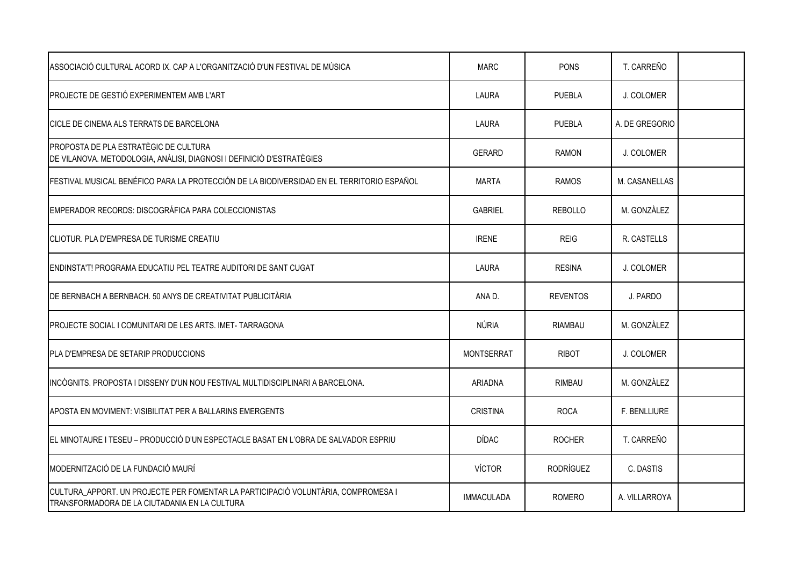| ASSOCIACIÓ CULTURAL ACORD IX. CAP A L'ORGANITZACIÓ D'UN FESTIVAL DE MÚSICA                                                         | <b>MARC</b>       | <b>PONS</b>      | T. CARREÑO          |  |
|------------------------------------------------------------------------------------------------------------------------------------|-------------------|------------------|---------------------|--|
| PROJECTE DE GESTIÓ EXPERIMENTEM AMB L'ART                                                                                          | LAURA             | <b>PUEBLA</b>    | J. COLOMER          |  |
| CICLE DE CINEMA ALS TERRATS DE BARCELONA                                                                                           | LAURA             | <b>PUEBLA</b>    | A. DE GREGORIO      |  |
| <b>PROPOSTA DE PLA ESTRATÈGIC DE CULTURA</b><br>DE VILANOVA. METODOLOGIA, ANÀLISI, DIAGNOSI I DEFINICIÓ D'ESTRATÈGIES              | <b>GERARD</b>     | <b>RAMON</b>     | J. COLOMER          |  |
| FESTIVAL MUSICAL BENÉFICO PARA LA PROTECCIÓN DE LA BIODIVERSIDAD EN EL TERRITORIO ESPAÑOL                                          | <b>MARTA</b>      | <b>RAMOS</b>     | M. CASANELLAS       |  |
| EMPERADOR RECORDS: DISCOGRÁFICA PARA COLECCIONISTAS                                                                                | <b>GABRIEL</b>    | <b>REBOLLO</b>   | M. GONZÀLEZ         |  |
| CLIOTUR. PLA D'EMPRESA DE TURISME CREATIU                                                                                          | <b>IRENE</b>      | <b>REIG</b>      | R. CASTELLS         |  |
| ENDINSTA'T! PROGRAMA EDUCATIU PEL TEATRE AUDITORI DE SANT CUGAT                                                                    | <b>LAURA</b>      | <b>RESINA</b>    | J. COLOMER          |  |
| DE BERNBACH A BERNBACH. 50 ANYS DE CREATIVITAT PUBLICITÀRIA                                                                        | ANA D.            | <b>REVENTOS</b>  | J. PARDO            |  |
| PROJECTE SOCIAL I COMUNITARI DE LES ARTS. IMET-TARRAGONA                                                                           | <b>NÚRIA</b>      | <b>RIAMBAU</b>   | M. GONZÀLEZ         |  |
| PLA D'EMPRESA DE SETARIP PRODUCCIONS                                                                                               | <b>MONTSERRAT</b> | <b>RIBOT</b>     | J. COLOMER          |  |
| IINCOGNITS. PROPOSTA I DISSENY D'UN NOU FESTIVAL MULTIDISCIPLINARI A BARCELONA.                                                    | <b>ARIADNA</b>    | RIMBAU           | M. GONZÀLEZ         |  |
| APOSTA EN MOVIMENT: VISIBILITAT PER A BALLARINS EMERGENTS                                                                          | <b>CRISTINA</b>   | <b>ROCA</b>      | <b>F. BENLLIURE</b> |  |
| EL MINOTAURE I TESEU - PRODUCCIÓ D'UN ESPECTACLE BASAT EN L'OBRA DE SALVADOR ESPRIU                                                | <b>DÍDAC</b>      | <b>ROCHER</b>    | T. CARREÑO          |  |
| MODERNITZACIÓ DE LA FUNDACIÓ MAURÍ                                                                                                 | <b>VÍCTOR</b>     | <b>RODRÍGUEZ</b> | C. DASTIS           |  |
| CULTURA_APPORT. UN PROJECTE PER FOMENTAR LA PARTICIPACIÓ VOLUNTÀRIA, COMPROMESA I<br>TRANSFORMADORA DE LA CIUTADANIA EN LA CULTURA | <b>IMMACULADA</b> | <b>ROMERO</b>    | A. VILLARROYA       |  |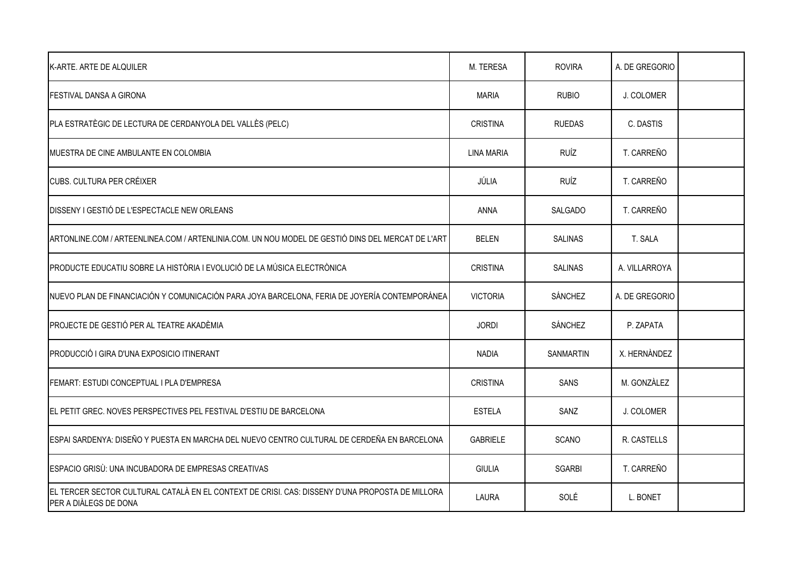| IK-ARTE. ARTE DE ALQUILER                                                                                                | M. TERESA         | <b>ROVIRA</b>    | A. DE GREGORIO |  |
|--------------------------------------------------------------------------------------------------------------------------|-------------------|------------------|----------------|--|
| <b>FESTIVAL DANSA A GIRONA</b>                                                                                           | <b>MARIA</b>      | <b>RUBIO</b>     | J. COLOMER     |  |
| PLA ESTRATÈGIC DE LECTURA DE CERDANYOLA DEL VALLÈS (PELC)                                                                | <b>CRISTINA</b>   | <b>RUEDAS</b>    | C. DASTIS      |  |
| IMUESTRA DE CINE AMBULANTE EN COLOMBIA                                                                                   | <b>LINA MARIA</b> | <b>RUÍZ</b>      | T. CARREÑO     |  |
| CUBS. CULTURA PER CRÉIXER                                                                                                | JÚLIA             | RUÍZ             | T. CARREÑO     |  |
| DISSENY I GESTIÓ DE L'ESPECTACLE NEW ORLEANS                                                                             | <b>ANNA</b>       | SALGADO          | T. CARREÑO     |  |
| ARTONLINE.COM / ARTEENLINEA.COM / ARTENLINIA.COM. UN NOU MODEL DE GESTIÓ DINS DEL MERCAT DE L'ART                        | <b>BELEN</b>      | <b>SALINAS</b>   | T. SALA        |  |
| PRODUCTE EDUCATIU SOBRE LA HISTÒRIA I EVOLUCIÓ DE LA MÚSICA ELECTRÒNICA                                                  | <b>CRISTINA</b>   | <b>SALINAS</b>   | A. VILLARROYA  |  |
| NUEVO PLAN DE FINANCIACIÓN Y COMUNICACIÓN PARA JOYA BARCELONA, FERIA DE JOYERÍA CONTEMPORÁNEA                            | <b>VICTORIA</b>   | <b>SÁNCHEZ</b>   | A. DE GREGORIO |  |
| PROJECTE DE GESTIÓ PER AL TEATRE AKADÈMIA                                                                                | <b>JORDI</b>      | SÁNCHEZ          | P. ZAPATA      |  |
| PRODUCCIÓ I GIRA D'UNA EXPOSICIO ITINERANT                                                                               | <b>NADIA</b>      | <b>SANMARTIN</b> | X. HERNÀNDEZ   |  |
| IFEMART: ESTUDI CONCEPTUAL I PLA D'EMPRESA                                                                               | <b>CRISTINA</b>   | <b>SANS</b>      | M. GONZÀLEZ    |  |
| EL PETIT GREC. NOVES PERSPECTIVES PEL FESTIVAL D'ESTIU DE BARCELONA                                                      | <b>ESTELA</b>     | SANZ             | J. COLOMER     |  |
| ESPAI SARDENYA: DISEÑO Y PUESTA EN MARCHA DEL NUEVO CENTRO CULTURAL DE CERDEÑA EN BARCELONA                              | <b>GABRIELE</b>   | SCANO            | R. CASTELLS    |  |
| ESPACIO GRISÙ: UNA INCUBADORA DE EMPRESAS CREATIVAS                                                                      | <b>GIULIA</b>     | <b>SGARBI</b>    | T. CARREÑO     |  |
| EL TERCER SECTOR CULTURAL CATALÀ EN EL CONTEXT DE CRISI. CAS: DISSENY D'UNA PROPOSTA DE MILLORA<br>PER A DIÀLEGS DE DONA | LAURA             | SOLÉ             | L. BONET       |  |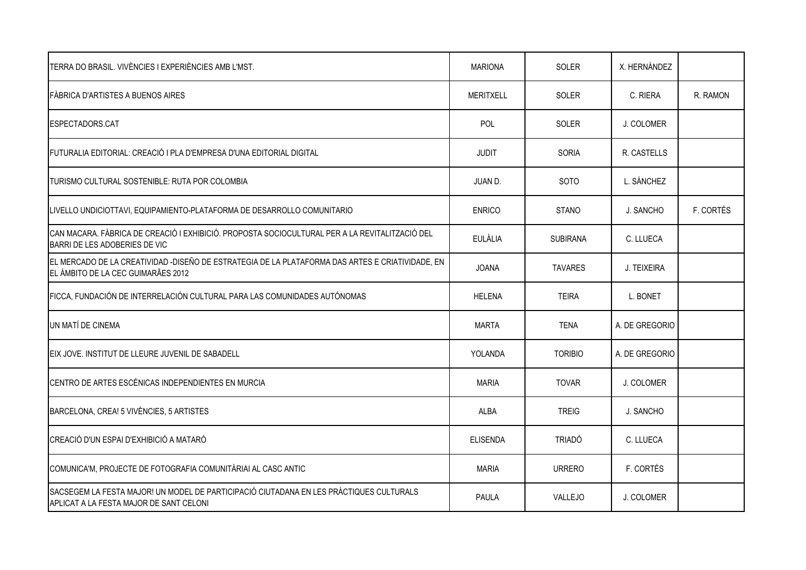| TERRA DO BRASIL. VIVÈNCIES I EXPERIÈNCIES AMB L'MST.                                                                                   | <b>MARIONA</b>   | <b>SOLER</b>    | X. HERNÀNDEZ   |           |
|----------------------------------------------------------------------------------------------------------------------------------------|------------------|-----------------|----------------|-----------|
| <b>FÀBRICA D'ARTISTES A BUENOS AIRES</b>                                                                                               | <b>MERITXELL</b> | <b>SOLER</b>    | C. RIERA       | R. RAMON  |
| ESPECTADORS.CAT                                                                                                                        | POL              | <b>SOLER</b>    | J. COLOMER     |           |
| FUTURALIA EDITORIAL: CREACIÓ I PLA D'EMPRESA D'UNA EDITORIAL DIGITAL                                                                   | <b>JUDIT</b>     | <b>SORIA</b>    | R. CASTELLS    |           |
| TURISMO CULTURAL SOSTENIBLE: RUTA POR COLOMBIA                                                                                         | JUAN D.          | <b>SOTO</b>     | L. SÁNCHEZ     |           |
| LIVELLO UNDICIOTTAVI, EQUIPAMIENTO-PLATAFORMA DE DESARROLLO COMUNITARIO                                                                | <b>ENRICO</b>    | <b>STANO</b>    | J. SANCHO      | F. CORTÉS |
| CAN MACARA. FÀBRICA DE CREACIÓ I EXHIBICIÓ. PROPOSTA SOCIOCULTURAL PER A LA REVITALITZACIÓ DEL<br>BARRI DE LES ADOBERIES DE VIC        | <b>EULÀLIA</b>   | <b>SUBIRANA</b> | C. LLUECA      |           |
| EL MERCADO DE LA CREATIVIDAD -DISEÑO DE ESTRATEGIA DE LA PLATAFORMA DAS ARTES E CRIATIVIDADE, EN<br>EL ÁMBITO DE LA CEC GUIMARÃES 2012 | <b>JOANA</b>     | <b>TAVARES</b>  | J. TEIXEIRA    |           |
| FICCA, FUNDACIÓN DE INTERRELACIÓN CULTURAL PARA LAS COMUNIDADES AUTÓNOMAS                                                              | <b>HELENA</b>    | <b>TEIRA</b>    | L. BONET       |           |
| UN MATÍ DE CINEMA                                                                                                                      | <b>MARTA</b>     | <b>TENA</b>     | A. DE GREGORIO |           |
| EIX JOVE. INSTITUT DE LLEURE JUVENIL DE SABADELL                                                                                       | YOLANDA          | <b>TORIBIO</b>  | A. DE GREGORIO |           |
| CENTRO DE ARTES ESCÉNICAS INDEPENDIENTES EN MURCIA                                                                                     | <b>MARIA</b>     | <b>TOVAR</b>    | J. COLOMER     |           |
| BARCELONA, CREA! 5 VIVÈNCIES, 5 ARTISTES                                                                                               | ALBA             | <b>TREIG</b>    | J. SANCHO      |           |
| CREACIÓ D'UN ESPAI D'EXHIBICIÓ A MATARÓ                                                                                                | <b>ELISENDA</b>  | TRIADÓ          | C. LLUECA      |           |
| COMUNICA'M, PROJECTE DE FOTOGRAFIA COMUNITÀRIAI AL CASC ANTIC                                                                          | <b>MARIA</b>     | <b>URRERO</b>   | F. CORTÉS      |           |
| SACSEGEM LA FESTA MAJOR! UN MODEL DE PARTICIPACIÓ CIUTADANA EN LES PRÀCTIQUES CULTURALS<br>APLICAT A LA FESTA MAJOR DE SANT CELONI     | <b>PAULA</b>     | VALLEJO         | J. COLOMER     |           |